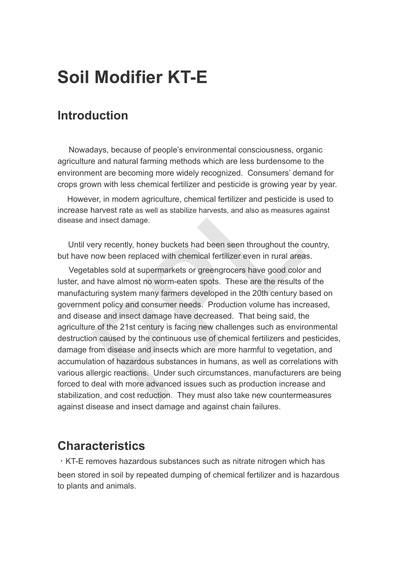# **Soil Modifier KT-E**

### **Introduction**

 Nowadays, because of people's environmental consciousness, organic agriculture and natural farming methods which are less burdensome to the environment are becoming more widely recognized. Consumers' demand for crops grown with less chemical fertilizer and pesticide is growing year by year.

However, in modern agriculture, chemical fertilizer and pesticide is used to increase harvest rate as well as stabilize harvests, and also as measures against disease and insect damage.

 Until very recently, honey buckets had been seen throughout the country, but have now been replaced with chemical fertilizer even in rural areas.

For in modern agriculture, chemical fertilizer and pesticide is barvest rate as well as stabilize harvests, and also as measures and insect damage.<br>For in modern agriculture, chemical fertilizer and pesticide is harvest ra Vegetables sold at supermarkets or greengrocers have good color and luster, and have almost no worm-eaten spots. These are the results of the manufacturing system many farmers developed in the 20th century based on government policy and consumer needs. Production volume has increased, and disease and insect damage have decreased. That being said, the agriculture of the 21st century is facing new challenges such as environmental destruction caused by the continuous use of chemical fertilizers and pesticides, damage from disease and insects which are more harmful to vegetation, and accumulation of hazardous substances in humans, as well as correlations with various allergic reactions. Under such circumstances, manufacturers are being forced to deal with more advanced issues such as production increase and stabilization, and cost reduction. They must also take new countermeasures against disease and insect damage and against chain failures.

### **Characteristics**

・KT-E removes hazardous substances such as nitrate nitrogen which has been stored in soil by repeated dumping of chemical fertilizer and is hazardous to plants and animals.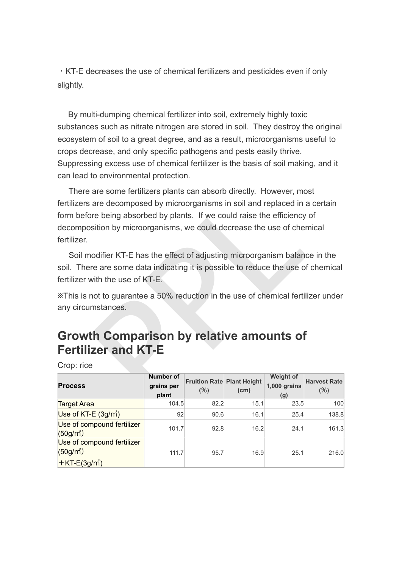・KT-E decreases the use of chemical fertilizers and pesticides even if only slightly.

 By multi-dumping chemical fertilizer into soil, extremely highly toxic substances such as nitrate nitrogen are stored in soil. They destroy the original ecosystem of soil to a great degree, and as a result, microorganisms useful to crops decrease, and only specific pathogens and pests easily thrive. Suppressing excess use of chemical fertilizer is the basis of soil making, and it can lead to environmental protection.

are some fertilizers plants can absorb directly. However, mo<br>
are decomposed by microorganisms in soil and replaced in a<br>
re being absorbed by plants. If we could raise the efficiency<br>
sition by microorganisms, we could de There are some fertilizers plants can absorb directly. However, most fertilizers are decomposed by microorganisms in soil and replaced in a certain form before being absorbed by plants. If we could raise the efficiency of decomposition by microorganisms, we could decrease the use of chemical fertilizer.

 Soil modifier KT-E has the effect of adjusting microorganism balance in the soil. There are some data indicating it is possible to reduce the use of chemical fertilizer with the use of KT-E.

※This is not to guarantee a 50% reduction in the use of chemical fertilizer under any circumstances.

# **Growth Comparison by relative amounts of Fertilizer and KT-E**

Crop: rice

| <b>Process</b>                                                            | <b>Number of</b><br>grains per<br>plant | <b>Fruition Rate Plant Height</b><br>(% ) | (cm) | <b>Weight of</b><br>1,000 grains<br>(g) | <b>Harvest Rate</b><br>(%) |
|---------------------------------------------------------------------------|-----------------------------------------|-------------------------------------------|------|-----------------------------------------|----------------------------|
| <b>Target Area</b>                                                        | 104.5                                   | 82.2                                      | 15.1 | 23.5                                    | 100                        |
| Use of $KT-E$ (3g/m <sup>2</sup> )                                        | 92                                      | 90.6                                      | 16.1 | 25.4                                    | 138.8                      |
| Use of compound fertilizer<br>$(50g/m^2)$                                 | 101.7                                   | 92.8                                      | 16.2 | 24.1                                    | 161.3                      |
| Use of compound fertilizer<br>$(50g/m^2)$<br>$H$ KT-E(3g/m <sup>2</sup> ) | 111.7                                   | 95.7                                      | 16.9 | 25.1                                    | 216.0                      |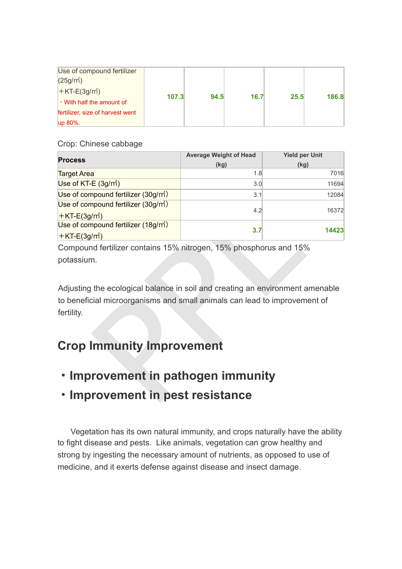| Use of compound fertilizer<br>$(25g/m^2)$ |       |      |      |      |       |
|-------------------------------------------|-------|------|------|------|-------|
| $+KT-E(3g/m^2)$                           | 107.3 | 94.5 | 16.7 | 25.5 | 186.8 |
| • With half the amount of                 |       |      |      |      |       |
| fertilizer, size of harvest went          |       |      |      |      |       |
| up 80%.                                   |       |      |      |      |       |

#### Crop: Chinese cabbage

|                                                                                                                                                                          | <b>Average Weight of Head</b> | <b>Yield per Unit</b> |  |  |  |  |
|--------------------------------------------------------------------------------------------------------------------------------------------------------------------------|-------------------------------|-----------------------|--|--|--|--|
| <b>Process</b>                                                                                                                                                           | (kg)                          | (kg)                  |  |  |  |  |
| <b>Target Area</b>                                                                                                                                                       | 1.8                           | 7016                  |  |  |  |  |
| Use of KT-E (3g/m <sup>2</sup> )                                                                                                                                         | 3.0                           | 11694                 |  |  |  |  |
| Use of compound fertilizer $(30g/m)$                                                                                                                                     | 3.1                           | 12084                 |  |  |  |  |
| Use of compound fertilizer (30g/m <sup>2</sup> )                                                                                                                         | 4.2                           | 16372                 |  |  |  |  |
| $+$ KT-E(3g/m <sup>2</sup> )                                                                                                                                             |                               |                       |  |  |  |  |
| Use of compound fertilizer (18g/m <sup>2</sup> )                                                                                                                         | 3.7                           | 14423                 |  |  |  |  |
| $HET-E(3g/m^2)$                                                                                                                                                          |                               |                       |  |  |  |  |
| Compound fertilizer contains 15% nitrogen, 15% phosphorus and 15%                                                                                                        |                               |                       |  |  |  |  |
| potassium.                                                                                                                                                               |                               |                       |  |  |  |  |
| Adjusting the ecological balance in soil and creating an environment amenable<br>to beneficial microorganisms and small animals can lead to improvement of<br>fertility. |                               |                       |  |  |  |  |
| <b>Crop Immunity Improvement</b>                                                                                                                                         |                               |                       |  |  |  |  |
| Improvement in pathogen immunity                                                                                                                                         |                               |                       |  |  |  |  |
| • Improvement in pest resistance                                                                                                                                         |                               |                       |  |  |  |  |

# **Crop Immunity Improvement**

- ・**Improvement in pathogen immunity**
- ・**Improvement in pest resistance**

Vegetation has its own natural immunity, and crops naturally have the ability to fight disease and pests. Like animals, vegetation can grow healthy and strong by ingesting the necessary amount of nutrients, as opposed to use of medicine, and it exerts defense against disease and insect damage.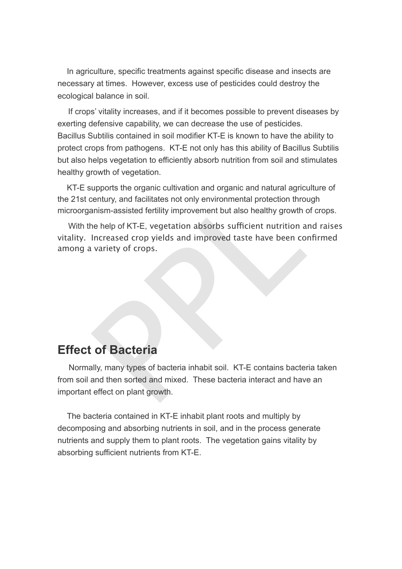In agriculture, specific treatments against specific disease and insects are necessary at times. However, excess use of pesticides could destroy the ecological balance in soil.

 If crops' vitality increases, and if it becomes possible to prevent diseases by exerting defensive capability, we can decrease the use of pesticides. Bacillus Subtilis contained in soil modifier KT-E is known to have the ability to protect crops from pathogens. KT-E not only has this ability of Bacillus Subtilis but also helps vegetation to efficiently absorb nutrition from soil and stimulates healthy growth of vegetation.

 KT-E supports the organic cultivation and organic and natural agriculture of the 21st century, and facilitates not only environmental protection through microorganism-assisted fertility improvement but also healthy growth of crops.

With the help of KT-E, vegetation absorbs sufficient nutrition and raises vitality. Increased crop yields and improved taste have been confirmed among a variety of crops.

#### **Effect of Bacteria**

upports the organic cultivation and organic and natural agric<br>century, and facilitates not only environmental protection thro<br>anism-assisted fertility improvement but also healthy growth ne<br>help of KT-E, vegetation absorbs Normally, many types of bacteria inhabit soil. KT-E contains bacteria taken from soil and then sorted and mixed. These bacteria interact and have an important effect on plant growth.

 The bacteria contained in KT-E inhabit plant roots and multiply by decomposing and absorbing nutrients in soil, and in the process generate nutrients and supply them to plant roots. The vegetation gains vitality by absorbing sufficient nutrients from KT-E.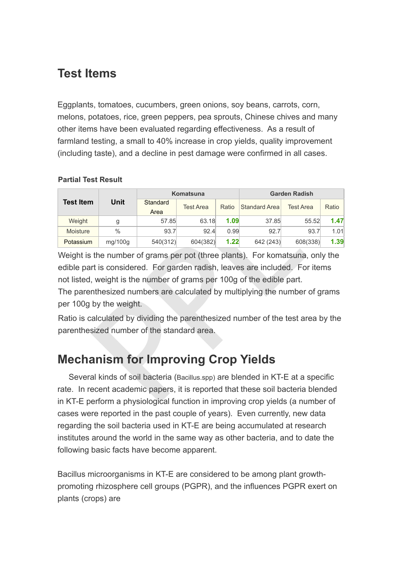### **Test Items**

Eggplants, tomatoes, cucumbers, green onions, soy beans, carrots, corn, melons, potatoes, rice, green peppers, pea sprouts, Chinese chives and many other items have been evaluated regarding effectiveness. As a result of farmland testing, a small to 40% increase in crop yields, quality improvement (including taste), and a decline in pest damage were confirmed in all cases.

#### **Partial Test Result**

|                                                                                                                                                                                                                                                       |                  |                  | <b>Komatsuna</b> |               | <b>Garden Radish</b> |          |      |  |
|-------------------------------------------------------------------------------------------------------------------------------------------------------------------------------------------------------------------------------------------------------|------------------|------------------|------------------|---------------|----------------------|----------|------|--|
| <b>Unit</b><br><b>Test Item</b>                                                                                                                                                                                                                       | Standard<br>Area | <b>Test Area</b> | Ratio            | Standard Area | <b>Test Area</b>     | Ratio    |      |  |
| Weight                                                                                                                                                                                                                                                | g                | 57.85            | 63.18            | 1.09          | 37.85                | 55.52    | 1.47 |  |
| <b>Moisture</b>                                                                                                                                                                                                                                       | $\frac{0}{0}$    | 93.7             | 92.4             | 0.99          | 92.7                 | 93.7     | 1.01 |  |
| Potassium                                                                                                                                                                                                                                             | mg/100g          | 540(312)         | 604(382)         | 1.22          | 642 (243)            | 608(338) | 1.39 |  |
| Weight is the number of grams per pot (three plants). For komatsuna, only the                                                                                                                                                                         |                  |                  |                  |               |                      |          |      |  |
| edible part is considered. For garden radish, leaves are included. For items                                                                                                                                                                          |                  |                  |                  |               |                      |          |      |  |
| not listed, weight is the number of grams per 100g of the edible part.                                                                                                                                                                                |                  |                  |                  |               |                      |          |      |  |
| The parenthesized numbers are calculated by multiplying the number of grams                                                                                                                                                                           |                  |                  |                  |               |                      |          |      |  |
| per 100g by the weight.                                                                                                                                                                                                                               |                  |                  |                  |               |                      |          |      |  |
| Ratio is calculated by dividing the parenthesized number of the test area by the                                                                                                                                                                      |                  |                  |                  |               |                      |          |      |  |
| parenthesized number of the standard area.                                                                                                                                                                                                            |                  |                  |                  |               |                      |          |      |  |
|                                                                                                                                                                                                                                                       |                  |                  |                  |               |                      |          |      |  |
| <b>Mechanism for Improving Crop Yields</b>                                                                                                                                                                                                            |                  |                  |                  |               |                      |          |      |  |
| Several kinds of soil bacteria (Bacillus.spp) are blended in KT-E at a specific<br>rate. In recent academic papers, it is reported that these soil bacteria blended<br>in KT-F perform a physiological function in improving crop vields (a number of |                  |                  |                  |               |                      |          |      |  |

# **Mechanism for Improving Crop Yields**

 Several kinds of soil bacteria (Bacillus.spp) are blended in KT-E at a specific rate. In recent academic papers, it is reported that these soil bacteria blended in KT-E perform a physiological function in improving crop yields (a number of cases were reported in the past couple of years). Even currently, new data regarding the soil bacteria used in KT-E are being accumulated at research institutes around the world in the same way as other bacteria, and to date the following basic facts have become apparent.

Bacillus microorganisms in KT-E are considered to be among plant growthpromoting rhizosphere cell groups (PGPR), and the influences PGPR exert on plants (crops) are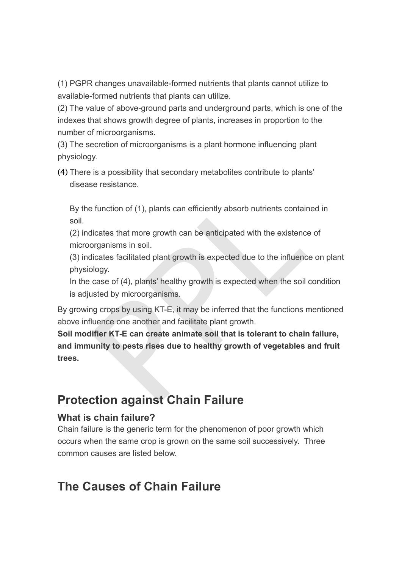(1) PGPR changes unavailable-formed nutrients that plants cannot utilize to available-formed nutrients that plants can utilize.

(2) The value of above-ground parts and underground parts, which is one of the indexes that shows growth degree of plants, increases in proportion to the number of microorganisms.

(3) The secretion of microorganisms is a plant hormone influencing plant physiology.

(4) There is a possibility that secondary metabolites contribute to plants' disease resistance.

By the function of (1), plants can efficiently absorb nutrients contained in soil.

(2) indicates that more growth can be anticipated with the existence of microorganisms in soil.

(3) indicates facilitated plant growth is expected due to the influence on plant physiology.

In the case of (4), plants' healthy growth is expected when the soil condition is adjusted by microorganisms.

By growing crops by using KT-E, it may be inferred that the functions mentioned above influence one another and facilitate plant growth.

e function of (1), plants can efficiently absorb nutrients contain<br>licates that more growth can be anticipated with the existenc<br>organisms in soil.<br>licates facilitated plant growth is expected due to the influence<br>ology.<br>c **Soil modifier KT-E can create animate soil that is tolerant to chain failure, and immunity to pests rises due to healthy growth of vegetables and fruit trees.**

# **Protection against Chain Failure**

#### **What is chain failure?**

Chain failure is the generic term for the phenomenon of poor growth which occurs when the same crop is grown on the same soil successively. Three common causes are listed below.

# **The Causes of Chain Failure**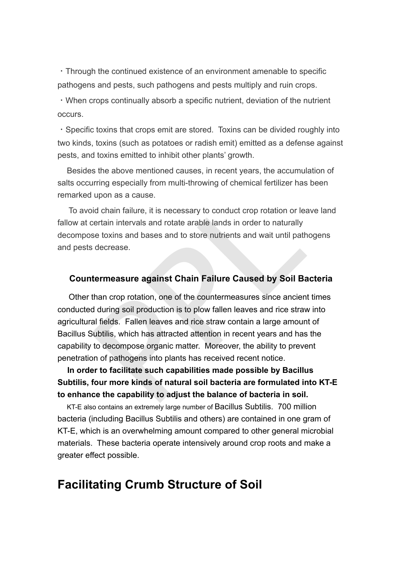・Through the continued existence of an environment amenable to specific pathogens and pests, such pathogens and pests multiply and ruin crops.

・When crops continually absorb a specific nutrient, deviation of the nutrient occurs.

・Specific toxins that crops emit are stored. Toxins can be divided roughly into two kinds, toxins (such as potatoes or radish emit) emitted as a defense against pests, and toxins emitted to inhibit other plants' growth.

 Besides the above mentioned causes, in recent years, the accumulation of salts occurring especially from multi-throwing of chemical fertilizer has been remarked upon as a cause.

 To avoid chain failure, it is necessary to conduct crop rotation or leave land fallow at certain intervals and rotate arable lands in order to naturally decompose toxins and bases and to store nutrients and wait until pathogens and pests decrease.

#### **Countermeasure against Chain Failure Caused by Soil Bacteria**

I upon as a cause.<br>
Solid chain failure, it is necessary to conduct crop rotation or leadertain intervals and rotate arable lands in order to naturally<br>
se toxins and bases and to store nutrients and wait until path<br>
stace Other than crop rotation, one of the countermeasures since ancient times conducted during soil production is to plow fallen leaves and rice straw into agricultural fields. Fallen leaves and rice straw contain a large amount of Bacillus Subtilis, which has attracted attention in recent years and has the capability to decompose organic matter. Moreover, the ability to prevent penetration of pathogens into plants has received recent notice.

 **In order to facilitate such capabilities made possible by Bacillus Subtilis, four more kinds of natural soil bacteria are formulated into KT-E to enhance the capability to adjust the balance of bacteria in soil.**

 KT-E also contains an extremely large number of Bacillus Subtilis. 700 million bacteria (including Bacillus Subtilis and others) are contained in one gram of KT-E, which is an overwhelming amount compared to other general microbial materials. These bacteria operate intensively around crop roots and make a greater effect possible.

### **Facilitating Crumb Structure of Soil**